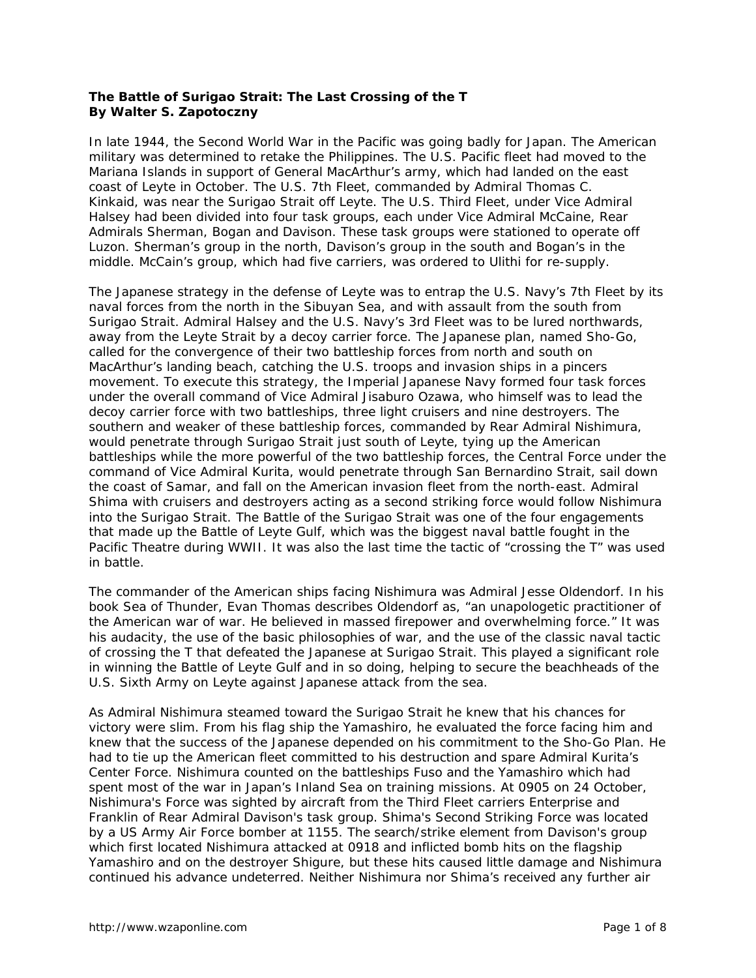## **The Battle of Surigao Strait: The Last Crossing of the T By Walter S. Zapotoczny**

In late 1944, the Second World War in the Pacific was going badly for Japan. The American military was determined to retake the Philippines. The U.S. Pacific fleet had moved to the Mariana Islands in support of General MacArthur's army, which had landed on the east coast of Leyte in October. The U.S. 7th Fleet, commanded by Admiral Thomas C. Kinkaid, was near the Surigao Strait off Leyte. The U.S. Third Fleet, under Vice Admiral Halsey had been divided into four task groups, each under Vice Admiral McCaine, Rear Admirals Sherman, Bogan and Davison. These task groups were stationed to operate off Luzon. Sherman's group in the north, Davison's group in the south and Bogan's in the middle. McCain's group, which had five carriers, was ordered to Ulithi for re-supply.

The Japanese strategy in the defense of Leyte was to entrap the U.S. Navy's 7th Fleet by its naval forces from the north in the Sibuyan Sea, and with assault from the south from Surigao Strait. Admiral Halsey and the U.S. Navy's 3rd Fleet was to be lured northwards, away from the Leyte Strait by a decoy carrier force. The Japanese plan, named Sho-Go, called for the convergence of their two battleship forces from north and south on MacArthur's landing beach, catching the U.S. troops and invasion ships in a pincers movement. To execute this strategy, the Imperial Japanese Navy formed four task forces under the overall command of Vice Admiral Jisaburo Ozawa, who himself was to lead the decoy carrier force with two battleships, three light cruisers and nine destroyers. The southern and weaker of these battleship forces, commanded by Rear Admiral Nishimura, would penetrate through Surigao Strait just south of Leyte, tying up the American battleships while the more powerful of the two battleship forces, the Central Force under the command of Vice Admiral Kurita, would penetrate through San Bernardino Strait, sail down the coast of Samar, and fall on the American invasion fleet from the north-east. Admiral Shima with cruisers and destroyers acting as a second striking force would follow Nishimura into the Surigao Strait. The Battle of the Surigao Strait was one of the four engagements that made up the Battle of Leyte Gulf, which was the biggest naval battle fought in the Pacific Theatre during WWII. It was also the last time the tactic of "crossing the T" was used in battle.

The commander of the American ships facing Nishimura was Admiral Jesse Oldendorf. In his book *Sea of Thunder*, Evan Thomas describes Oldendorf as, "an unapologetic practitioner of the American war of war. He believed in massed firepower and overwhelming force." It was his audacity, the use of the basic philosophies of war, and the use of the classic naval tactic of crossing the T that defeated the Japanese at Surigao Strait. This played a significant role in winning the Battle of Leyte Gulf and in so doing, helping to secure the beachheads of the U.S. Sixth Army on Leyte against Japanese attack from the sea.

As Admiral Nishimura steamed toward the Surigao Strait he knew that his chances for victory were slim. From his flag ship the *Yamashiro*, he evaluated the force facing him and knew that the success of the Japanese depended on his commitment to the Sho-Go Plan. He had to tie up the American fleet committed to his destruction and spare Admiral Kurita's Center Force. Nishimura counted on the battleships *Fuso* and the *Yamashiro* which had spent most of the war in Japan's Inland Sea on training missions. At 0905 on 24 October, Nishimura's Force was sighted by aircraft from the Third Fleet carriers *Enterprise* and *Franklin* of Rear Admiral Davison's task group. Shima's Second Striking Force was located by a US Army Air Force bomber at 1155. The search/strike element from Davison's group which first located Nishimura attacked at 0918 and inflicted bomb hits on the flagship *Yamashiro* and on the destroyer *Shigure*, but these hits caused little damage and Nishimura continued his advance undeterred. Neither Nishimura nor Shima's received any further air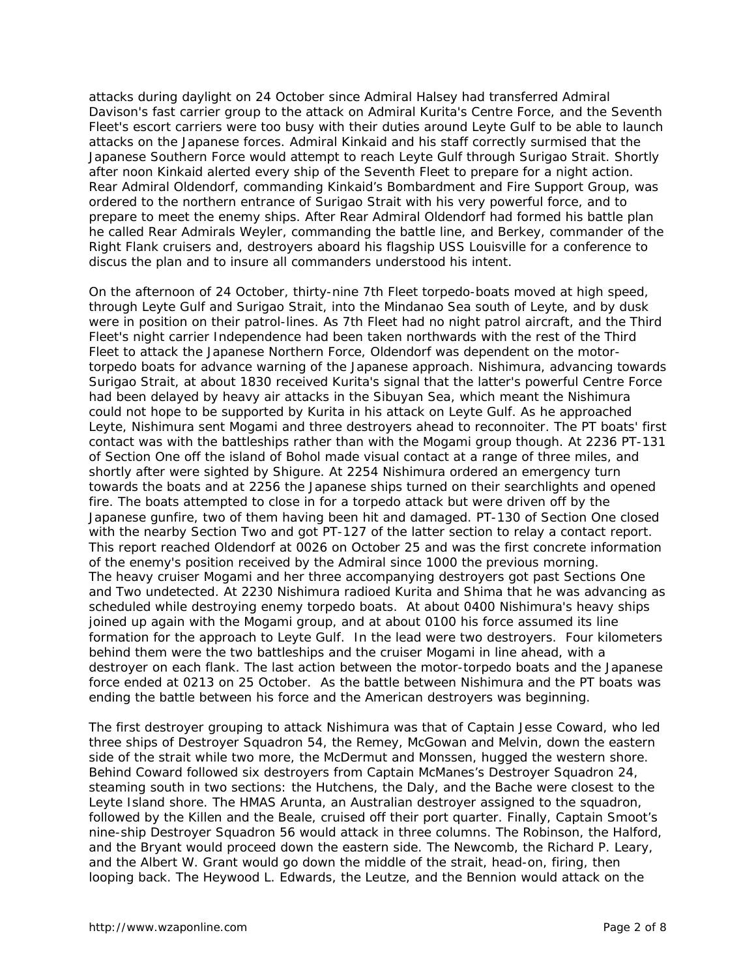attacks during daylight on 24 October since Admiral Halsey had transferred Admiral Davison's fast carrier group to the attack on Admiral Kurita's Centre Force, and the Seventh Fleet's escort carriers were too busy with their duties around Leyte Gulf to be able to launch attacks on the Japanese forces. Admiral Kinkaid and his staff correctly surmised that the Japanese Southern Force would attempt to reach Leyte Gulf through Surigao Strait. Shortly after noon Kinkaid alerted every ship of the Seventh Fleet to prepare for a night action. Rear Admiral Oldendorf, commanding Kinkaid's Bombardment and Fire Support Group, was ordered to the northern entrance of Surigao Strait with his very powerful force, and to prepare to meet the enemy ships. After Rear Admiral Oldendorf had formed his battle plan he called Rear Admirals Weyler, commanding the battle line, and Berkey, commander of the Right Flank cruisers and, destroyers aboard his flagship *USS Louisville* for a conference to discus the plan and to insure all commanders understood his intent.

On the afternoon of 24 October, thirty-nine 7th Fleet torpedo-boats moved at high speed, through Leyte Gulf and Surigao Strait, into the Mindanao Sea south of Leyte, and by dusk were in position on their patrol-lines. As 7th Fleet had no night patrol aircraft, and the Third Fleet's night carrier *Independence* had been taken northwards with the rest of the Third Fleet to attack the Japanese Northern Force, Oldendorf was dependent on the motortorpedo boats for advance warning of the Japanese approach. Nishimura, advancing towards Surigao Strait, at about 1830 received Kurita's signal that the latter's powerful Centre Force had been delayed by heavy air attacks in the Sibuyan Sea, which meant the Nishimura could not hope to be supported by Kurita in his attack on Leyte Gulf. As he approached Leyte, Nishimura sent *Mogami* and three destroyers ahead to reconnoiter. The PT boats' first contact was with the battleships rather than with the *Mogami* group though. At 2236 PT-131 of Section One off the island of Bohol made visual contact at a range of three miles, and shortly after were sighted by *Shigure.* At 2254 Nishimura ordered an emergency turn towards the boats and at 2256 the Japanese ships turned on their searchlights and opened fire. The boats attempted to close in for a torpedo attack but were driven off by the Japanese gunfire, two of them having been hit and damaged. PT-130 of Section One closed with the nearby Section Two and got PT-127 of the latter section to relay a contact report. This report reached Oldendorf at 0026 on October 25 and was the first concrete information of the enemy's position received by the Admiral since 1000 the previous morning. The heavy cruiser *Mogami* and her three accompanying destroyers got past Sections One and Two undetected. At 2230 Nishimura radioed Kurita and Shima that he was advancing as scheduled while destroying enemy torpedo boats. At about 0400 Nishimura's heavy ships joined up again with the *Mogami group,* and at about 0100 his force assumed its line formation for the approach to Leyte Gulf. In the lead were two destroyers. Four kilometers behind them were the two battleships and the cruiser *Mogami* in line ahead, with a destroyer on each flank. The last action between the motor-torpedo boats and the Japanese force ended at 0213 on 25 October. As the battle between Nishimura and the PT boats was ending the battle between his force and the American destroyers was beginning.

The first destroyer grouping to attack Nishimura was that of Captain Jesse Coward, who led three ships of Destroyer Squadron 54, the *Remey*, *McGowan* and *Melvin*, down the eastern side of the strait while two more, the *McDermut* and *Monssen*, hugged the western shore. Behind Coward followed six destroyers from Captain McManes's Destroyer Squadron 24, steaming south in two sections: the *Hutchens*, the *Daly*, and the *Bache* were closest to the Leyte Island shore. The HMAS *Arunta*, an Australian destroyer assigned to the squadron, followed by the *Killen* and the *Beale*, cruised off their port quarter. Finally, Captain Smoot's nine-ship Destroyer Squadron 56 would attack in three columns. The *Robinson*, the *Halford*, and the *Bryant* would proceed down the eastern side. The *Newcomb*, the *Richard P. Leary*, and the *Albert W. Grant* would go down the middle of the strait, head-on, firing, then looping back. The *Heywood L. Edwards*, the *Leutze*, and the *Bennion* would attack on the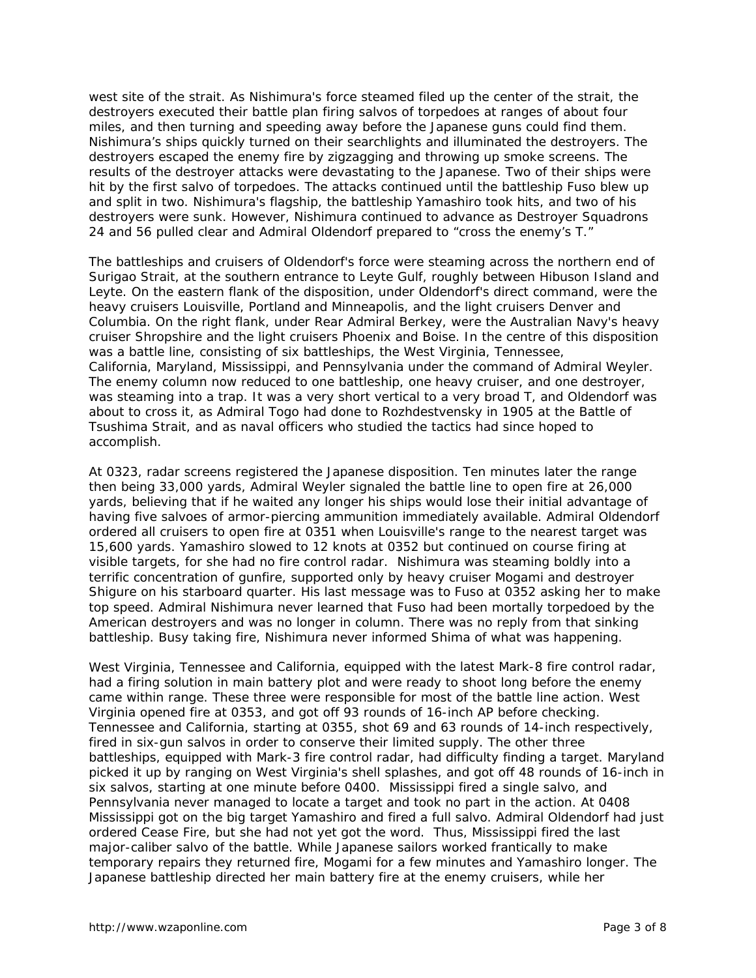west site of the strait. As Nishimura's force steamed filed up the center of the strait, the destroyers executed their battle plan firing salvos of torpedoes at ranges of about four miles, and then turning and speeding away before the Japanese guns could find them. Nishimura's ships quickly turned on their searchlights and illuminated the destroyers. The destroyers escaped the enemy fire by zigzagging and throwing up smoke screens. The results of the destroyer attacks were devastating to the Japanese. Two of their ships were hit by the first salvo of torpedoes. The attacks continued until the battleship *Fuso* blew up and split in two. Nishimura's flagship, the battleship *Yamashiro* took hits, and two of his destroyers were sunk. However, Nishimura continued to advance as Destroyer Squadrons 24 and 56 pulled clear and Admiral Oldendorf prepared to "cross the enemy's T."

The battleships and cruisers of Oldendorf's force were steaming across the northern end of Surigao Strait, at the southern entrance to Leyte Gulf, roughly between Hibuson Island and Leyte. On the eastern flank of the disposition, under Oldendorf's direct command, were the heavy cruisers *Louisville, Portland* and *Minneapolis,* and the light cruisers *Denver* and *Columbia.* On the right flank, under Rear Admiral Berkey, were the Australian Navy's heavy cruiser *Shropshire* and the light cruisers *Phoenix* and *Boise*. In the centre of this disposition was a battle line, consisting of six battleships, the *West Virginia, Tennessee*, *California*, *Maryland, Mississippi, and Pennsylvania* under the command of Admiral Weyler. The enemy column now reduced to one battleship, one heavy cruiser, and one destroyer, was steaming into a trap. It was a very short vertical to a very broad T, and Oldendorf was about to cross it, as Admiral Togo had done to Rozhdestvensky in 1905 at the Battle of Tsushima Strait, and as naval officers who studied the tactics had since hoped to accomplish.

At 0323, radar screens registered the Japanese disposition. Ten minutes later the range then being 33,000 yards, Admiral Weyler signaled the battle line to open fire at 26,000 yards, believing that if he waited any longer his ships would lose their initial advantage of having five salvoes of armor-piercing ammunition immediately available. Admiral Oldendorf ordered all cruisers to open fire at 0351 when *Louisville*'s range to the nearest target was 15,600 yards. *Yamashiro* slowed to 12 knots at 0352 but continued on course firing at visible targets, for she had no fire control radar. Nishimura was steaming boldly into a terrific concentration of gunfire, supported only by heavy cruiser *Mogami* and destroyer *Shigure* on his starboard quarter. His last message was to *Fuso* at 0352 asking her to make top speed. Admiral Nishimura never learned that *Fuso* had been mortally torpedoed by the American destroyers and was no longer in column. There was no reply from that sinking battleship. Busy taking fire, Nishimura never informed Shima of what was happening.

*West Virginia, Tennessee* and *California*, equipped with the latest Mark-8 fire control radar, had a firing solution in main battery plot and were ready to shoot long before the enemy came within range. These three were responsible for most of the battle line action. *West Virginia* opened fire at 0353, and got off 93 rounds of 16-inch AP before checking. *Tennessee* and *California*, starting at 0355, shot 69 and 63 rounds of 14-inch respectively, fired in six-gun salvos in order to conserve their limited supply. The other three battleships, equipped with Mark-3 fire control radar, had difficulty finding a target. *Maryland* picked it up by ranging on *West Virginia*'s shell splashes, and got off 48 rounds of 16-inch in six salvos, starting at one minute before 0400. *Mississippi* fired a single salvo, and *Pennsylvania* never managed to locate a target and took no part in the action. At 0408 *Mississippi* got on the big target *Yamashiro* and fired a full salvo. Admiral Oldendorf had just ordered Cease Fire, but she had not yet got the word. Thus, *Mississippi* fired the last major-caliber salvo of the battle. While Japanese sailors worked frantically to make temporary repairs they returned fire, *Mogami* for a few minutes and *Yamashiro* longer. The Japanese battleship directed her main battery fire at the enemy cruisers, while her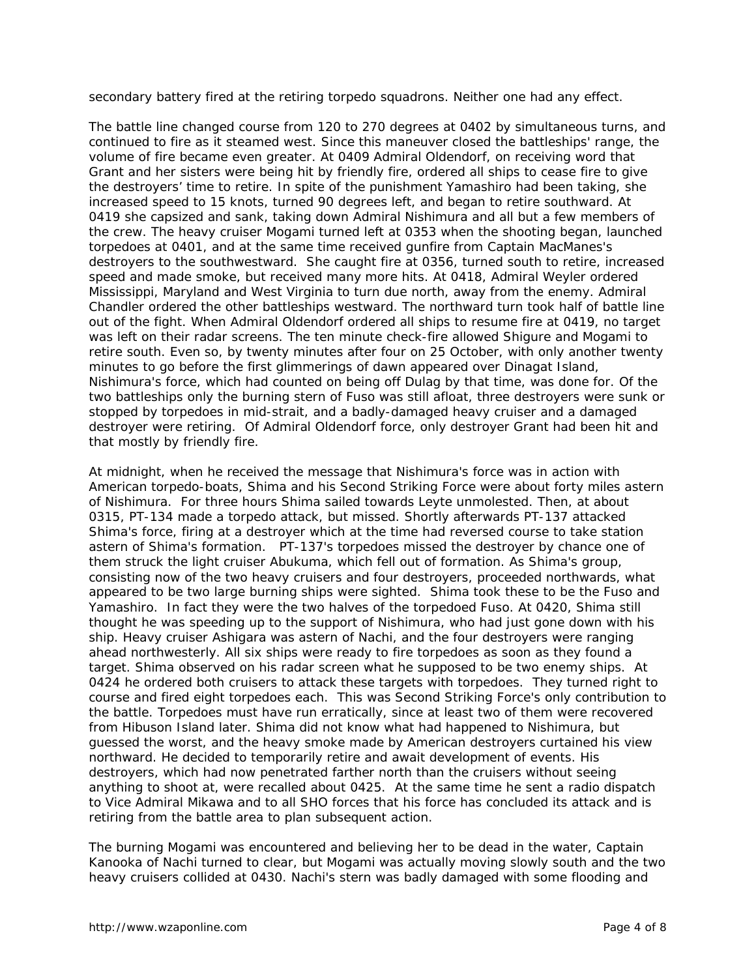secondary battery fired at the retiring torpedo squadrons. Neither one had any effect.

The battle line changed course from 120 to 270 degrees at 0402 by simultaneous turns, and continued to fire as it steamed west. Since this maneuver closed the battleships' range, the volume of fire became even greater. At 0409 Admiral Oldendorf, on receiving word that *Grant* and her sisters were being hit by friendly fire, ordered all ships to cease fire to give the destroyers' time to retire. In spite of the punishment *Yamashiro* had been taking, she increased speed to 15 knots, turned 90 degrees left, and began to retire southward. At 0419 she capsized and sank, taking down Admiral Nishimura and all but a few members of the crew. The heavy cruiser *Mogami* turned left at 0353 when the shooting began, launched torpedoes at 0401, and at the same time received gunfire from Captain MacManes's destroyers to the southwestward. She caught fire at 0356, turned south to retire, increased speed and made smoke, but received many more hits. At 0418, Admiral Weyler ordered *Mississippi, Maryland* and *West Virginia* to turn due north, away from the enemy. Admiral Chandler ordered the other battleships westward. The northward turn took half of battle line out of the fight. When Admiral Oldendorf ordered all ships to resume fire at 0419, no target was left on their radar screens. The ten minute check-fire allowed *Shigure* and *Mogami* to retire south. Even so, by twenty minutes after four on 25 October, with only another twenty minutes to go before the first glimmerings of dawn appeared over Dinagat Island, Nishimura's force, which had counted on being off Dulag by that time, was done for. Of the two battleships only the burning stern of *Fuso* was still afloat, three destroyers were sunk or stopped by torpedoes in mid-strait, and a badly-damaged heavy cruiser and a damaged destroyer were retiring. Of Admiral Oldendorf force, only destroyer *Grant* had been hit and that mostly by friendly fire.

At midnight, when he received the message that Nishimura's force was in action with American torpedo-boats, Shima and his Second Striking Force were about forty miles astern of Nishimura. For three hours Shima sailed towards Leyte unmolested. Then, at about 0315, PT-134 made a torpedo attack, but missed. Shortly afterwards PT-137 attacked Shima's force, firing at a destroyer which at the time had reversed course to take station astern of Shima's formation. PT-137's torpedoes missed the destroyer by chance one of them struck the light cruiser *Abukuma,* which fell out of formation. As Shima's group, consisting now of the two heavy cruisers and four destroyers, proceeded northwards, what appeared to be two large burning ships were sighted. Shima took these to be the *Fuso* and *Yamashiro.* In fact they were the two halves of the torpedoed *Fuso*. At 0420, Shima still thought he was speeding up to the support of Nishimura, who had just gone down with his ship. Heavy cruiser *Ashigara* was astern of *Nachi,* and the four destroyers were ranging ahead northwesterly. All six ships were ready to fire torpedoes as soon as they found a target. Shima observed on his radar screen what he supposed to be two enemy ships. At 0424 he ordered both cruisers to attack these targets with torpedoes. They turned right to course and fired eight torpedoes each. This was Second Striking Force's only contribution to the battle. Torpedoes must have run erratically, since at least two of them were recovered from Hibuson Island later. Shima did not know what had happened to Nishimura, but guessed the worst, and the heavy smoke made by American destroyers curtained his view northward. He decided to temporarily retire and await development of events. His destroyers, which had now penetrated farther north than the cruisers without seeing anything to shoot at, were recalled about 0425. At the same time he sent a radio dispatch to Vice Admiral Mikawa and to all SHO forces that his force has concluded its attack and is retiring from the battle area to plan subsequent action.

The burning *Mogami* was encountered and believing her to be dead in the water, Captain Kanooka of *Nachi* turned to clear, but *Mogami* was actually moving slowly south and the two heavy cruisers collided at 0430. *Nachi*'s stern was badly damaged with some flooding and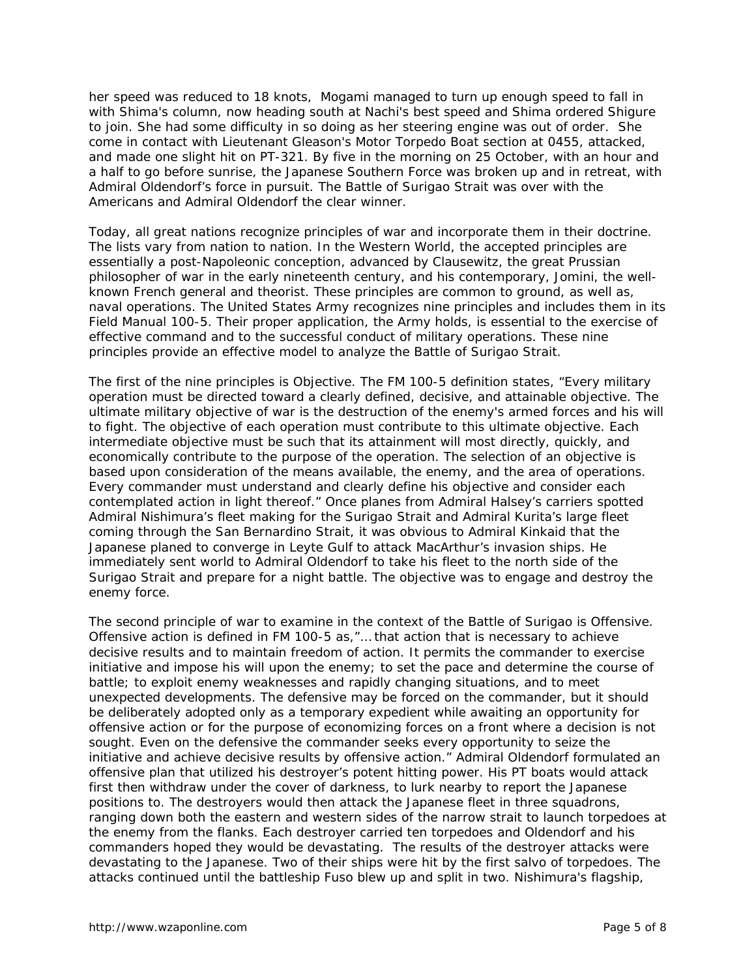her speed was reduced to 18 knots, *Mogami* managed to turn up enough speed to fall in with Shima's column, now heading south at *Nachi'*s best speed and Shima ordered *Shigure* to join. She had some difficulty in so doing as her steering engine was out of order. She come in contact with Lieutenant Gleason's Motor Torpedo Boat section at 0455, attacked, and made one slight hit on PT-321. By five in the morning on 25 October, with an hour and a half to go before sunrise, the Japanese Southern Force was broken up and in retreat, with Admiral Oldendorf's force in pursuit. The Battle of Surigao Strait was over with the Americans and Admiral Oldendorf the clear winner.

Today, all great nations recognize principles of war and incorporate them in their doctrine. The lists vary from nation to nation. In the Western World, the accepted principles are essentially a post-Napoleonic conception, advanced by Clausewitz, the great Prussian philosopher of war in the early nineteenth century, and his contemporary, Jomini, the wellknown French general and theorist. These principles are common to ground, as well as, naval operations. The United States Army recognizes nine principles and includes them in its *Field Manual 100-5.* Their proper application, the Army holds, is essential to the exercise of effective command and to the successful conduct of military operations. These nine principles provide an effective model to analyze the Battle of Surigao Strait.

The first of the nine principles is *Objective.* The FM 100-5 definition states, "Every military operation must be directed toward a clearly defined, decisive, and attainable objective. The ultimate military objective of war is the destruction of the enemy's armed forces and his will to fight. The objective of each operation must contribute to this ultimate objective. Each intermediate objective must be such that its attainment will most directly, quickly, and economically contribute to the purpose of the operation. The selection of an objective is based upon consideration of the means available, the enemy, and the area of operations. Every commander must understand and clearly define his objective and consider each contemplated action in light thereof." Once planes from Admiral Halsey's carriers spotted Admiral Nishimura's fleet making for the Surigao Strait and Admiral Kurita's large fleet coming through the San Bernardino Strait, it was obvious to Admiral Kinkaid that the Japanese planed to converge in Leyte Gulf to attack MacArthur's invasion ships. He immediately sent world to Admiral Oldendorf to take his fleet to the north side of the Surigao Strait and prepare for a night battle. The objective was to engage and destroy the enemy force.

The second principle of war to examine in the context of the Battle of Surigao is *Offensive.*  Offensive action is defined in FM 100-5 as,"… that action that is necessary to achieve decisive results and to maintain freedom of action. It permits the commander to exercise initiative and impose his will upon the enemy; to set the pace and determine the course of battle; to exploit enemy weaknesses and rapidly changing situations, and to meet unexpected developments. The defensive may be forced on the commander, but it should be deliberately adopted only as a temporary expedient while awaiting an opportunity for offensive action or for the purpose of economizing forces on a front where a decision is not sought. Even on the defensive the commander seeks every opportunity to seize the initiative and achieve decisive results by offensive action." Admiral Oldendorf formulated an offensive plan that utilized his destroyer's potent hitting power. His PT boats would attack first then withdraw under the cover of darkness, to lurk nearby to report the Japanese positions to. The destroyers would then attack the Japanese fleet in three squadrons, ranging down both the eastern and western sides of the narrow strait to launch torpedoes at the enemy from the flanks. Each destroyer carried ten torpedoes and Oldendorf and his commanders hoped they would be devastating. The results of the destroyer attacks were devastating to the Japanese. Two of their ships were hit by the first salvo of torpedoes. The attacks continued until the battleship *Fuso* blew up and split in two. Nishimura's flagship,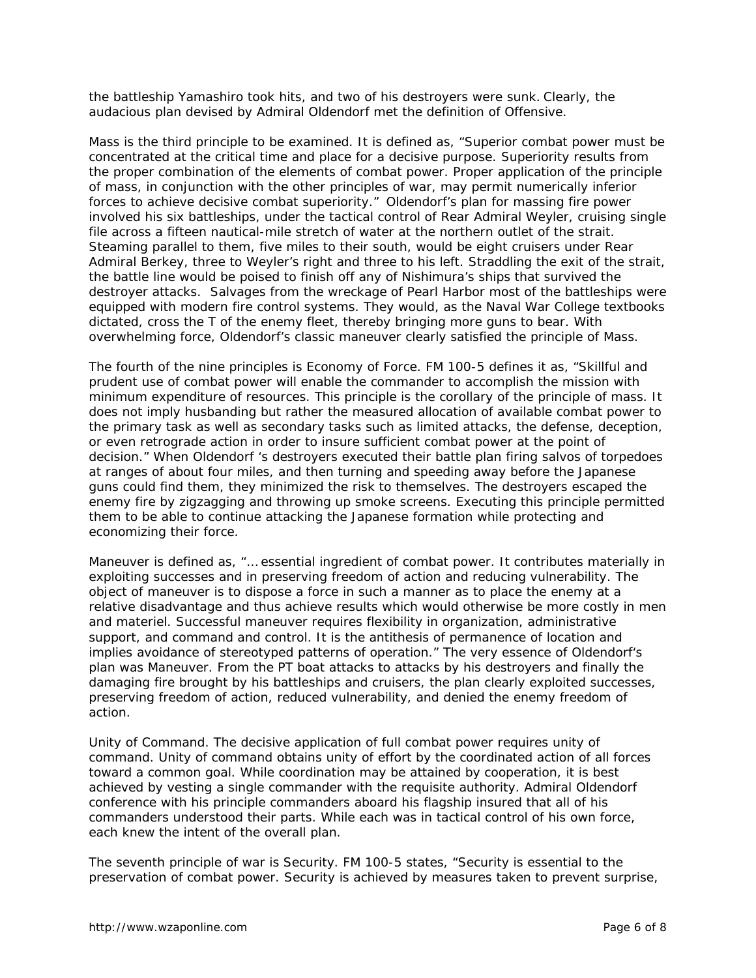the battleship *Yamashiro* took hits, and two of his destroyers were sunk. Clearly, the audacious plan devised by Admiral Oldendorf met the definition of *Offensive*.

*Mass* is the third principle to be examined. It is defined as, "Superior combat power must be concentrated at the critical time and place for a decisive purpose. Superiority results from the proper combination of the elements of combat power. Proper application of the principle of mass, in conjunction with the other principles of war, may permit numerically inferior forces to achieve decisive combat superiority." Oldendorf's plan for massing fire power involved his six battleships, under the tactical control of Rear Admiral Weyler, cruising single file across a fifteen nautical-mile stretch of water at the northern outlet of the strait. Steaming parallel to them, five miles to their south, would be eight cruisers under Rear Admiral Berkey, three to Weyler's right and three to his left. Straddling the exit of the strait, the battle line would be poised to finish off any of Nishimura's ships that survived the destroyer attacks. Salvages from the wreckage of Pearl Harbor most of the battleships were equipped with modern fire control systems. They would, as the Naval War College textbooks dictated, cross the T of the enemy fleet, thereby bringing more guns to bear. With overwhelming force, Oldendorf's classic maneuver clearly satisfied the principle of *Mass*.

The fourth of the nine principles is *Economy of Force.* FM 100-5 defines it as, "Skillful and prudent use of combat power will enable the commander to accomplish the mission with minimum expenditure of resources. This principle is the corollary of the principle of mass. It does not imply husbanding but rather the measured allocation of available combat power to the primary task as well as secondary tasks such as limited attacks, the defense, deception, or even retrograde action in order to insure sufficient combat power at the point of decision." When Oldendorf 's destroyers executed their battle plan firing salvos of torpedoes at ranges of about four miles, and then turning and speeding away before the Japanese guns could find them, they minimized the risk to themselves. The destroyers escaped the enemy fire by zigzagging and throwing up smoke screens. Executing this principle permitted them to be able to continue attacking the Japanese formation while protecting and economizing their force.

*Maneuver* is defined as, "… essential ingredient of combat power. It contributes materially in exploiting successes and in preserving freedom of action and reducing vulnerability. The object of maneuver is to dispose a force in such a manner as to place the enemy at a relative disadvantage and thus achieve results which would otherwise be more costly in men and materiel. Successful maneuver requires flexibility in organization, administrative support, and command and control. It is the antithesis of permanence of location and implies avoidance of stereotyped patterns of operation." The very essence of Oldendorf's plan was *Maneuver*. From the PT boat attacks to attacks by his destroyers and finally the damaging fire brought by his battleships and cruisers, the plan clearly exploited successes, preserving freedom of action, reduced vulnerability, and denied the enemy freedom of action.

*Unity of Command.* The decisive application of full combat power requires unity of command. Unity of command obtains unity of effort by the coordinated action of all forces toward a common goal. While coordination may be attained by cooperation, it is best achieved by vesting a single commander with the requisite authority. Admiral Oldendorf conference with his principle commanders aboard his flagship insured that all of his commanders understood their parts. While each was in tactical control of his own force, each knew the intent of the overall plan.

The seventh principle of war is *Security.* FM 100-5 states, "Security is essential to the preservation of combat power. Security is achieved by measures taken to prevent surprise,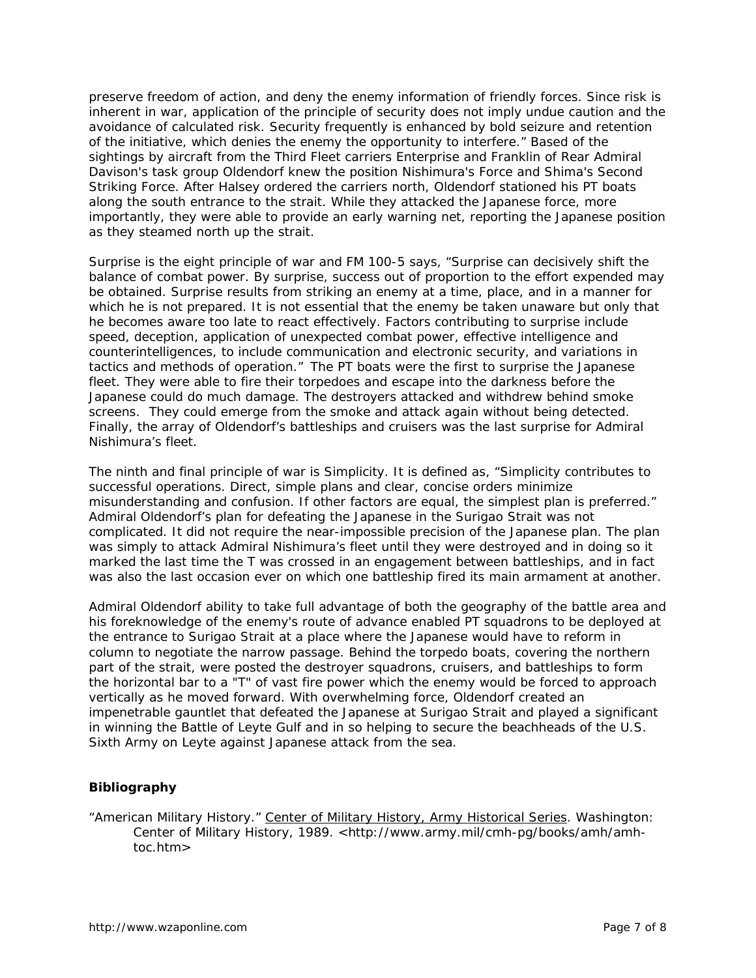preserve freedom of action, and deny the enemy information of friendly forces. Since risk is inherent in war, application of the principle of security does not imply undue caution and the avoidance of calculated risk. Security frequently is enhanced by bold seizure and retention of the initiative, which denies the enemy the opportunity to interfere." Based of the sightings by aircraft from the Third Fleet carriers *Enterprise* and *Franklin* of Rear Admiral Davison's task group Oldendorf knew the position Nishimura's Force and Shima's Second Striking Force. After Halsey ordered the carriers north, Oldendorf stationed his PT boats along the south entrance to the strait. While they attacked the Japanese force, more importantly, they were able to provide an early warning net, reporting the Japanese position as they steamed north up the strait.

*Surprise* is the eight principle of war and FM 100-5 says, "Surprise can decisively shift the balance of combat power. By surprise, success out of proportion to the effort expended may be obtained. Surprise results from striking an enemy at a time, place, and in a manner for which he is not prepared. It is not essential that the enemy be taken unaware but only that he becomes aware too late to react effectively. Factors contributing to surprise include speed, deception, application of unexpected combat power, effective intelligence and counterintelligences, to include communication and electronic security, and variations in tactics and methods of operation." The PT boats were the first to surprise the Japanese fleet. They were able to fire their torpedoes and escape into the darkness before the Japanese could do much damage. The destroyers attacked and withdrew behind smoke screens. They could emerge from the smoke and attack again without being detected. Finally, the array of Oldendorf's battleships and cruisers was the last surprise for Admiral Nishimura's fleet.

The ninth and final principle of war is *Simplicity.* It is defined as, "Simplicity contributes to successful operations. Direct, simple plans and clear, concise orders minimize misunderstanding and confusion. If other factors are equal, the simplest plan is preferred." Admiral Oldendorf's plan for defeating the Japanese in the Surigao Strait was not complicated. It did not require the near-impossible precision of the Japanese plan. The plan was simply to attack Admiral Nishimura's fleet until they were destroyed and in doing so it marked the last time the T was crossed in an engagement between battleships, and in fact was also the last occasion ever on which one battleship fired its main armament at another.

Admiral Oldendorf ability to take full advantage of both the geography of the battle area and his foreknowledge of the enemy's route of advance enabled PT squadrons to be deployed at the entrance to Surigao Strait at a place where the Japanese would have to reform in column to negotiate the narrow passage. Behind the torpedo boats, covering the northern part of the strait, were posted the destroyer squadrons, cruisers, and battleships to form the horizontal bar to a "T" of vast fire power which the enemy would be forced to approach vertically as he moved forward. With overwhelming force, Oldendorf created an impenetrable gauntlet that defeated the Japanese at Surigao Strait and played a significant in winning the Battle of Leyte Gulf and in so helping to secure the beachheads of the U.S. Sixth Army on Leyte against Japanese attack from the sea.

## **Bibliography**

"American Military History." Center of Military History, Army Historical Series. Washington: Center of Military History, 1989. <http://www.army.mil/cmh-pg/books/amh/amh toc.htm>